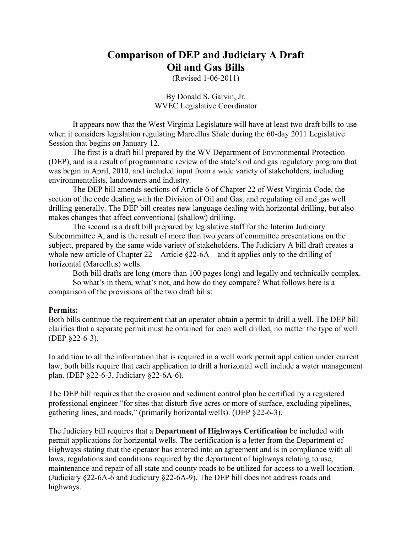# **Comparison of DEP and Judiciary A Draft Oil and Gas Bills**

(Revised 1-06-2011)

By Donald S. Garvin, Jr. WVEC Legislative Coordinator

It appears now that the West Virginia Legislature will have at least two draft bills to use when it considers legislation regulating Marcellus Shale during the 60-day 2011 Legislative Session that begins on January 12.

The first is a draft bill prepared by the WV Department of Environmental Protection (DEP), and is a result of programmatic review of the state's oil and gas regulatory program that was begin in April, 2010, and included input from a wide variety of stakeholders, including environmentalists, landowners and industry.

The DEP bill amends sections of Article 6 of Chapter 22 of West Virginia Code, the section of the code dealing with the Division of Oil and Gas, and regulating oil and gas well drilling generally. The DEP bill creates new language dealing with horizontal drilling, but also makes changes that affect conventional (shallow) drilling.

The second is a draft bill prepared by legislative staff for the Interim Judiciary Subcommittee A, and is the result of more than two years of committee presentations on the subject, prepared by the same wide variety of stakeholders. The Judiciary A bill draft creates a whole new article of Chapter  $22 -$  Article  $\S22 - 6A -$  and it applies only to the drilling of horizontal (Marcellus) wells.

Both bill drafts are long (more than 100 pages long) and legally and technically complex.

So what's in them, what's not, and how do they compare? What follows here is a comparison of the provisions of the two draft bills:

#### **Permits:**

Both bills continue the requirement that an operator obtain a permit to drill a well. The DEP bill clarifies that a separate permit must be obtained for each well drilled, no matter the type of well. (DEP §22-6-3).

In addition to all the information that is required in a well work permit application under current law, both bills require that each application to drill a horizontal well include a water management plan. (DEP §22-6-3, Judiciary §22-6A-6).

The DEP bill requires that the erosion and sediment control plan be certified by a registered professional engineer "for sites that disturb five acres or more of surface, excluding pipelines, gathering lines, and roads," (primarily horizontal wells). (DEP §22-6-3).

The Judiciary bill requires that a **Department of Highways Certification** be included with permit applications for horizontal wells. The certification is a letter from the Department of Highways stating that the operator has entered into an agreement and is in compliance with all laws, regulations and conditions required by the department of highways relating to use, maintenance and repair of all state and county roads to be utilized for access to a well location. (Judiciary §22-6A-6 and Judiciary §22-6A-9). The DEP bill does not address roads and highways.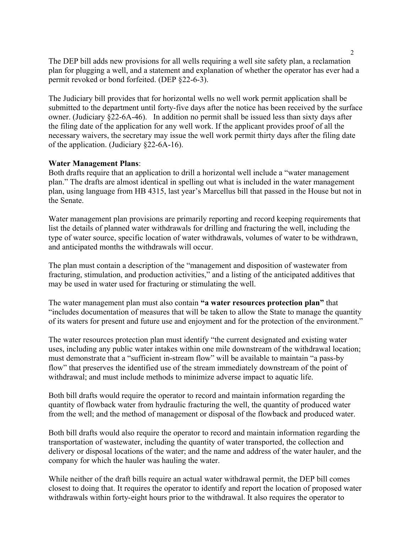The DEP bill adds new provisions for all wells requiring a well site safety plan, a reclamation plan for plugging a well, and a statement and explanation of whether the operator has ever had a permit revoked or bond forfeited. (DEP §22-6-3).

The Judiciary bill provides that for horizontal wells no well work permit application shall be submitted to the department until forty-five days after the notice has been received by the surface owner. (Judiciary §22-6A-46). In addition no permit shall be issued less than sixty days after the filing date of the application for any well work. If the applicant provides proof of all the necessary waivers, the secretary may issue the well work permit thirty days after the filing date of the application. (Judiciary §22-6A-16).

#### **Water Management Plans**:

Both drafts require that an application to drill a horizontal well include a "water management plan." The drafts are almost identical in spelling out what is included in the water management plan, using language from HB 4315, last year's Marcellus bill that passed in the House but not in the Senate.

Water management plan provisions are primarily reporting and record keeping requirements that list the details of planned water withdrawals for drilling and fracturing the well, including the type of water source, specific location of water withdrawals, volumes of water to be withdrawn, and anticipated months the withdrawals will occur.

The plan must contain a description of the "management and disposition of wastewater from fracturing, stimulation, and production activities," and a listing of the anticipated additives that may be used in water used for fracturing or stimulating the well.

The water management plan must also contain **"a water resources protection plan"** that "includes documentation of measures that will be taken to allow the State to manage the quantity of its waters for present and future use and enjoyment and for the protection of the environment."

The water resources protection plan must identify "the current designated and existing water uses, including any public water intakes within one mile downstream of the withdrawal location; must demonstrate that a "sufficient in-stream flow" will be available to maintain "a pass-by flow" that preserves the identified use of the stream immediately downstream of the point of withdrawal; and must include methods to minimize adverse impact to aquatic life.

Both bill drafts would require the operator to record and maintain information regarding the quantity of flowback water from hydraulic fracturing the well, the quantity of produced water from the well; and the method of management or disposal of the flowback and produced water.

Both bill drafts would also require the operator to record and maintain information regarding the transportation of wastewater, including the quantity of water transported, the collection and delivery or disposal locations of the water; and the name and address of the water hauler, and the company for which the hauler was hauling the water.

While neither of the draft bills require an actual water withdrawal permit, the DEP bill comes closest to doing that. It requires the operator to identify and report the location of proposed water withdrawals within forty-eight hours prior to the withdrawal. It also requires the operator to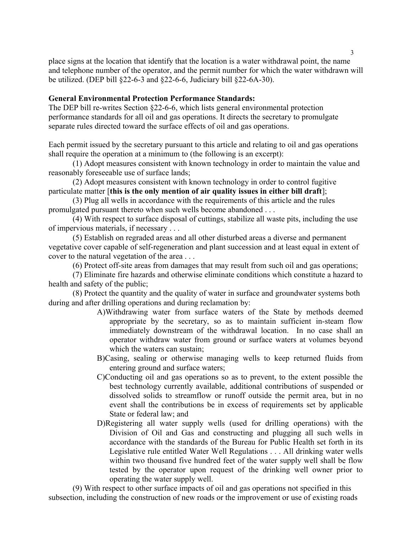place signs at the location that identify that the location is a water withdrawal point, the name and telephone number of the operator, and the permit number for which the water withdrawn will be utilized. (DEP bill §22-6-3 and §22-6-6, Judiciary bill §22-6A-30).

# **General Environmental Protection Performance Standards:**

The DEP bill re-writes Section §22-6-6, which lists general environmental protection performance standards for all oil and gas operations. It directs the secretary to promulgate separate rules directed toward the surface effects of oil and gas operations.

Each permit issued by the secretary pursuant to this article and relating to oil and gas operations shall require the operation at a minimum to (the following is an excerpt):

(1) Adopt measures consistent with known technology in order to maintain the value and reasonably foreseeable use of surface lands;

(2) Adopt measures consistent with known technology in order to control fugitive particulate matter [**this is the only mention of air quality issues in either bill draft**];

(3) Plug all wells in accordance with the requirements of this article and the rules promulgated pursuant thereto when such wells become abandoned . . .

(4) With respect to surface disposal of cuttings, stabilize all waste pits, including the use of impervious materials, if necessary . . .

(5) Establish on regraded areas and all other disturbed areas a diverse and permanent vegetative cover capable of self-regeneration and plant succession and at least equal in extent of cover to the natural vegetation of the area . . .

(6) Protect off-site areas from damages that may result from such oil and gas operations;

(7) Eliminate fire hazards and otherwise eliminate conditions which constitute a hazard to health and safety of the public;

(8) Protect the quantity and the quality of water in surface and groundwater systems both during and after drilling operations and during reclamation by:

- A)Withdrawing water from surface waters of the State by methods deemed appropriate by the secretary, so as to maintain sufficient in-steam flow immediately downstream of the withdrawal location. In no case shall an operator withdraw water from ground or surface waters at volumes beyond which the waters can sustain;
- B)Casing, sealing or otherwise managing wells to keep returned fluids from entering ground and surface waters;
- C)Conducting oil and gas operations so as to prevent, to the extent possible the best technology currently available, additional contributions of suspended or dissolved solids to streamflow or runoff outside the permit area, but in no event shall the contributions be in excess of requirements set by applicable State or federal law; and
- D)Registering all water supply wells (used for drilling operations) with the Division of Oil and Gas and constructing and plugging all such wells in accordance with the standards of the Bureau for Public Health set forth in its Legislative rule entitled Water Well Regulations . . . All drinking water wells within two thousand five hundred feet of the water supply well shall be flow tested by the operator upon request of the drinking well owner prior to operating the water supply well.

(9) With respect to other surface impacts of oil and gas operations not specified in this subsection, including the construction of new roads or the improvement or use of existing roads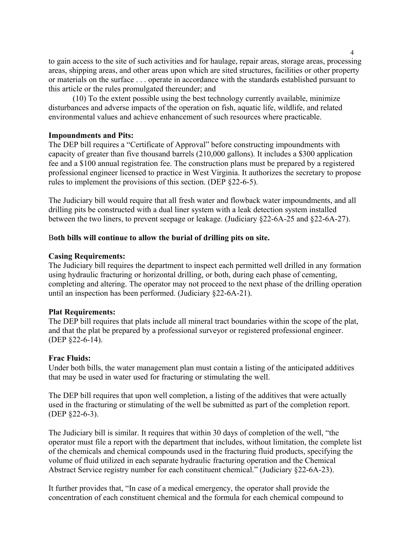to gain access to the site of such activities and for haulage, repair areas, storage areas, processing areas, shipping areas, and other areas upon which are sited structures, facilities or other property or materials on the surface . . . operate in accordance with the standards established pursuant to this article or the rules promulgated thereunder; and

(10) To the extent possible using the best technology currently available, minimize disturbances and adverse impacts of the operation on fish, aquatic life, wildlife, and related environmental values and achieve enhancement of such resources where practicable.

# **Impoundments and Pits:**

The DEP bill requires a "Certificate of Approval" before constructing impoundments with capacity of greater than five thousand barrels (210,000 gallons). It includes a \$300 application fee and a \$100 annual registration fee. The construction plans must be prepared by a registered professional engineer licensed to practice in West Virginia. It authorizes the secretary to propose rules to implement the provisions of this section. (DEP §22-6-5).

The Judiciary bill would require that all fresh water and flowback water impoundments, and all drilling pits be constructed with a dual liner system with a leak detection system installed between the two liners, to prevent seepage or leakage. (Judiciary §22-6A-25 and §22-6A-27).

# B**oth bills will continue to allow the burial of drilling pits on site.**

#### **Casing Requirements:**

The Judiciary bill requires the department to inspect each permitted well drilled in any formation using hydraulic fracturing or horizontal drilling, or both, during each phase of cementing, completing and altering. The operator may not proceed to the next phase of the drilling operation until an inspection has been performed. (Judiciary §22-6A-21).

#### **Plat Requirements:**

The DEP bill requires that plats include all mineral tract boundaries within the scope of the plat, and that the plat be prepared by a professional surveyor or registered professional engineer. (DEP §22-6-14).

#### **Frac Fluids:**

Under both bills, the water management plan must contain a listing of the anticipated additives that may be used in water used for fracturing or stimulating the well.

The DEP bill requires that upon well completion, a listing of the additives that were actually used in the fracturing or stimulating of the well be submitted as part of the completion report. (DEP §22-6-3).

The Judiciary bill is similar. It requires that within 30 days of completion of the well, "the operator must file a report with the department that includes, without limitation, the complete list of the chemicals and chemical compounds used in the fracturing fluid products, specifying the volume of fluid utilized in each separate hydraulic fracturing operation and the Chemical Abstract Service registry number for each constituent chemical." (Judiciary §22-6A-23).

It further provides that, "In case of a medical emergency, the operator shall provide the concentration of each constituent chemical and the formula for each chemical compound to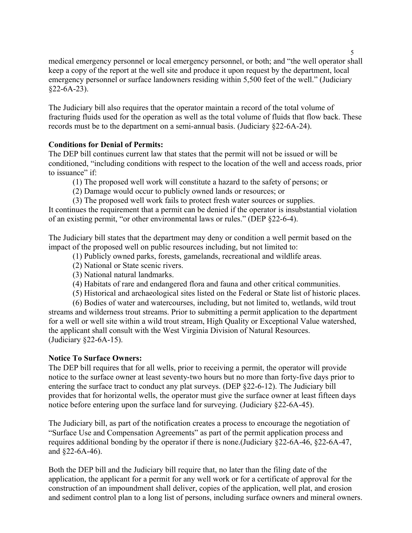medical emergency personnel or local emergency personnel, or both; and "the well operator shall keep a copy of the report at the well site and produce it upon request by the department, local emergency personnel or surface landowners residing within 5,500 feet of the well." (Judiciary  $§22-6A-23$ ).

The Judiciary bill also requires that the operator maintain a record of the total volume of fracturing fluids used for the operation as well as the total volume of fluids that flow back. These records must be to the department on a semi-annual basis. (Judiciary §22-6A-24).

# **Conditions for Denial of Permits:**

The DEP bill continues current law that states that the permit will not be issued or will be conditioned, "including conditions with respect to the location of the well and access roads, prior to issuance" if

- (1) The proposed well work will constitute a hazard to the safety of persons; or
- (2) Damage would occur to publicly owned lands or resources; or
- (3) The proposed well work fails to protect fresh water sources or supplies.

It continues the requirement that a permit can be denied if the operator is insubstantial violation of an existing permit, "or other environmental laws or rules." (DEP §22-6-4).

The Judiciary bill states that the department may deny or condition a well permit based on the impact of the proposed well on public resources including, but not limited to:

- (1) Publicly owned parks, forests, gamelands, recreational and wildlife areas.
- (2) National or State scenic rivers.
- (3) National natural landmarks.
- (4) Habitats of rare and endangered flora and fauna and other critical communities.
- (5) Historical and archaeological sites listed on the Federal or State list of historic places.

(6) Bodies of water and watercourses, including, but not limited to, wetlands, wild trout streams and wilderness trout streams. Prior to submitting a permit application to the department for a well or well site within a wild trout stream, High Quality or Exceptional Value watershed, the applicant shall consult with the West Virginia Division of Natural Resources. (Judiciary §22-6A-15).

# **Notice To Surface Owners:**

The DEP bill requires that for all wells, prior to receiving a permit, the operator will provide notice to the surface owner at least seventy-two hours but no more than forty-five days prior to entering the surface tract to conduct any plat surveys. (DEP §22-6-12). The Judiciary bill provides that for horizontal wells, the operator must give the surface owner at least fifteen days notice before entering upon the surface land for surveying. (Judiciary §22-6A-45).

The Judiciary bill, as part of the notification creates a process to encourage the negotiation of "Surface Use and Compensation Agreements" as part of the permit application process and requires additional bonding by the operator if there is none.(Judiciary §22-6A-46, §22-6A-47, and §22-6A-46).

Both the DEP bill and the Judiciary bill require that, no later than the filing date of the application, the applicant for a permit for any well work or for a certificate of approval for the construction of an impoundment shall deliver, copies of the application, well plat, and erosion and sediment control plan to a long list of persons, including surface owners and mineral owners.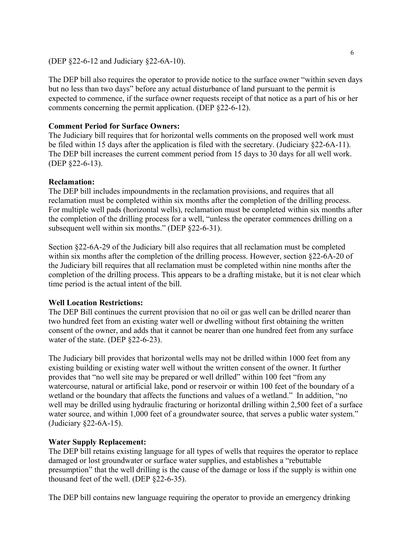#### (DEP §22-6-12 and Judiciary §22-6A-10).

The DEP bill also requires the operator to provide notice to the surface owner "within seven days but no less than two days" before any actual disturbance of land pursuant to the permit is expected to commence, if the surface owner requests receipt of that notice as a part of his or her comments concerning the permit application. (DEP §22-6-12).

# **Comment Period for Surface Owners:**

The Judiciary bill requires that for horizontal wells comments on the proposed well work must be filed within 15 days after the application is filed with the secretary. (Judiciary §22-6A-11). The DEP bill increases the current comment period from 15 days to 30 days for all well work. (DEP §22-6-13).

# **Reclamation:**

The DEP bill includes impoundments in the reclamation provisions, and requires that all reclamation must be completed within six months after the completion of the drilling process. For multiple well pads (horizontal wells), reclamation must be completed within six months after the completion of the drilling process for a well, "unless the operator commences drilling on a subsequent well within six months." (DEP §22-6-31).

Section §22-6A-29 of the Judiciary bill also requires that all reclamation must be completed within six months after the completion of the drilling process. However, section §22-6A-20 of the Judiciary bill requires that all reclamation must be completed within nine months after the completion of the drilling process. This appears to be a drafting mistake, but it is not clear which time period is the actual intent of the bill.

# **Well Location Restrictions:**

The DEP Bill continues the current provision that no oil or gas well can be drilled nearer than two hundred feet from an existing water well or dwelling without first obtaining the written consent of the owner, and adds that it cannot be nearer than one hundred feet from any surface water of the state. (DEP §22-6-23).

The Judiciary bill provides that horizontal wells may not be drilled within 1000 feet from any existing building or existing water well without the written consent of the owner. It further provides that "no well site may be prepared or well drilled" within 100 feet "from any watercourse, natural or artificial lake, pond or reservoir or within 100 feet of the boundary of a wetland or the boundary that affects the functions and values of a wetland." In addition, "no well may be drilled using hydraulic fracturing or horizontal drilling within 2,500 feet of a surface water source, and within 1,000 feet of a groundwater source, that serves a public water system." (Judiciary §22-6A-15).

# **Water Supply Replacement:**

The DEP bill retains existing language for all types of wells that requires the operator to replace damaged or lost groundwater or surface water supplies, and establishes a "rebuttable presumption" that the well drilling is the cause of the damage or loss if the supply is within one thousand feet of the well. (DEP §22-6-35).

The DEP bill contains new language requiring the operator to provide an emergency drinking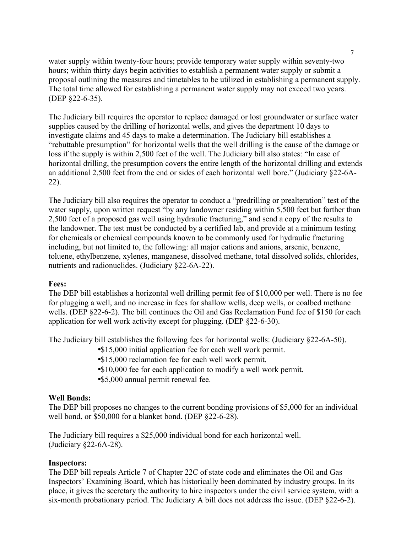water supply within twenty-four hours; provide temporary water supply within seventy-two hours; within thirty days begin activities to establish a permanent water supply or submit a proposal outlining the measures and timetables to be utilized in establishing a permanent supply. The total time allowed for establishing a permanent water supply may not exceed two years. (DEP §22-6-35).

The Judiciary bill requires the operator to replace damaged or lost groundwater or surface water supplies caused by the drilling of horizontal wells, and gives the department 10 days to investigate claims and 45 days to make a determination. The Judiciary bill establishes a "rebuttable presumption" for horizontal wells that the well drilling is the cause of the damage or loss if the supply is within 2,500 feet of the well. The Judiciary bill also states: "In case of horizontal drilling, the presumption covers the entire length of the horizontal drilling and extends an additional 2,500 feet from the end or sides of each horizontal well bore." (Judiciary §22-6A-22).

The Judiciary bill also requires the operator to conduct a "predrilling or prealteration" test of the water supply, upon written request "by any landowner residing within 5,500 feet but farther than 2,500 feet of a proposed gas well using hydraulic fracturing," and send a copy of the results to the landowner. The test must be conducted by a certified lab, and provide at a minimum testing for chemicals or chemical compounds known to be commonly used for hydraulic fracturing including, but not limited to, the following: all major cations and anions, arsenic, benzene, toluene, ethylbenzene, xylenes, manganese, dissolved methane, total dissolved solids, chlorides, nutrients and radionuclides. (Judiciary §22-6A-22).

# **Fees:**

The DEP bill establishes a horizontal well drilling permit fee of \$10,000 per well. There is no fee for plugging a well, and no increase in fees for shallow wells, deep wells, or coalbed methane wells. (DEP §22-6-2). The bill continues the Oil and Gas Reclamation Fund fee of \$150 for each application for well work activity except for plugging. (DEP §22-6-30).

The Judiciary bill establishes the following fees for horizontal wells: (Judiciary §22-6A-50).

- \$15,000 initial application fee for each well work permit.
- •\$15,000 reclamation fee for each well work permit.
- •\$10,000 fee for each application to modify a well work permit.
- •\$5,000 annual permit renewal fee.

# **Well Bonds:**

The DEP bill proposes no changes to the current bonding provisions of \$5,000 for an individual well bond, or \$50,000 for a blanket bond. (DEP §22-6-28).

The Judiciary bill requires a \$25,000 individual bond for each horizontal well. (Judiciary §22-6A-28).

# **Inspectors:**

The DEP bill repeals Article 7 of Chapter 22C of state code and eliminates the Oil and Gas Inspectors' Examining Board, which has historically been dominated by industry groups. In its place, it gives the secretary the authority to hire inspectors under the civil service system, with a six-month probationary period. The Judiciary A bill does not address the issue. (DEP §22-6-2).